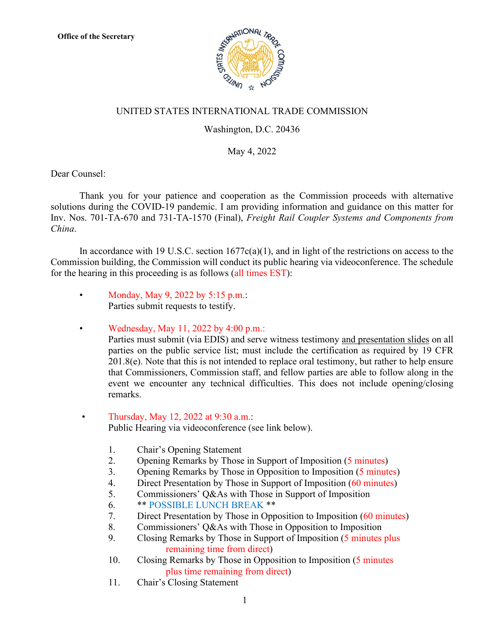

## UNITED STATES INTERNATIONAL TRADE COMMISSION

## Washington, D.C. 20436

## May 4, 2022

Dear Counsel:

Thank you for your patience and cooperation as the Commission proceeds with alternative solutions during the COVID-19 pandemic. I am providing information and guidance on this matter for Inv. Nos. 701-TA-670 and 731-TA-1570 (Final), *Freight Rail Coupler Systems and Components from China*.

In accordance with 19 U.S.C. section  $1677c(a)(1)$ , and in light of the restrictions on access to the Commission building, the Commission will conduct its public hearing via videoconference. The schedule for the hearing in this proceeding is as follows (all times EST):

• Monday, May 9, 2022 by 5:15 p.m.: Parties submit requests to testify.

• Wednesday, May 11, 2022 by 4:00 p.m.: Parties must submit (via EDIS) and serve witness testimony and presentation slides on all parties on the public service list; must include the certification as required by 19 CFR  $201.8(e)$ . Note that this is not intended to replace oral testimony, but rather to help ensure that Commissioners, Commission staff, and fellow parties are able to follow along in the event we encounter any technical difficulties. This does not include opening/closing remarks.

## • Thursday, May 12, 2022 at  $9:30$  a.m.: Public Hearing via videoconference (see link below).

- 1. Chair's Opening Statement
- 2. Opening Remarks by Those in Support of Imposition (5 minutes)
- 3. Opening Remarks by Those in Opposition to Imposition (5 minutes)
- 4. Direct Presentation by Those in Support of Imposition (60 minutes)
- 5. Commissioners' Q&As with Those in Support of Imposition
- 6. \*\* POSSIBLE LUNCH BREAK \*\*
- 7. Direct Presentation by Those in Opposition to Imposition (60 minutes)
- 8. Commissioners' Q&As with Those in Opposition to Imposition
- 9. Closing Remarks by Those in Support of Imposition (5 minutes plus remaining time from direct)
- 10. Closing Remarks by Those in Opposition to Imposition (5 minutes plus time remaining from direct)
- 11. Chair's Closing Statement